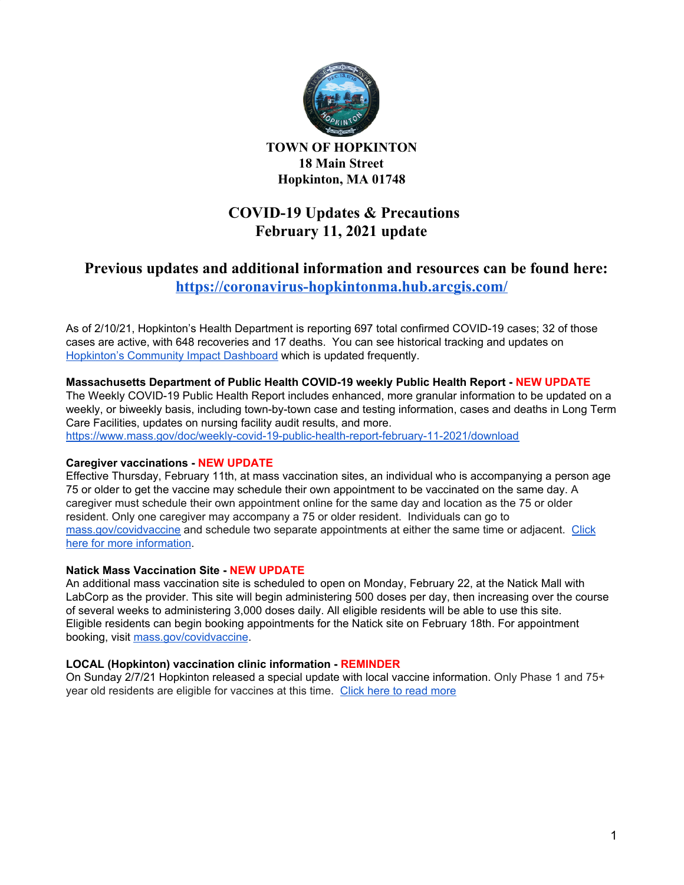

**TOWN OF HOPKINTON 18 Main Street Hopkinton, MA 01748**

# **COVID-19 Updates & Precautions February 11, 2021 update**

# **Previous updates and additional information and resources can be found here: <https://coronavirus-hopkintonma.hub.arcgis.com/>**

As of 2/10/21, Hopkinton's Health Department is reporting 697 total confirmed COVID-19 cases; 32 of those cases are active, with 648 recoveries and 17 deaths. You can see historical tracking and updates on [Hopkinton's](https://hopkintonma.maps.arcgis.com/apps/opsdashboard/index.html#/01aa244939e540aeb2991ec71392d431) Community Impact Dashboard which is updated frequently.

## **Massachusetts Department of Public Health COVID-19 weekly Public Health Report - NEW UPDATE**

The Weekly COVID-19 Public Health Report includes enhanced, more granular information to be updated on a weekly, or biweekly basis, including town-by-town case and testing information, cases and deaths in Long Term Care Facilities, updates on nursing facility audit results, and more.

<https://www.mass.gov/doc/weekly-covid-19-public-health-report-february-11-2021/download>

### **Caregiver vaccinations - NEW UPDATE**

Effective Thursday, February 11th, at mass vaccination sites, an individual who is accompanying a person age 75 or older to get the vaccine may schedule their own appointment to be vaccinated on the same day. A caregiver must schedule their own appointment online for the same day and location as the 75 or older resident. Only one caregiver may accompany a 75 or older resident. Individuals can go to [mass.gov/covidvaccine](https://www.mass.gov/covid-19-vaccine) and schedule two separate appointments at either the same time or adjacent. [Click](https://www.mass.gov/news/baker-polito-administration-announces-two-mass-vaccination-sites-new-appointments) here for more [information](https://www.mass.gov/news/baker-polito-administration-announces-two-mass-vaccination-sites-new-appointments).

### **Natick Mass Vaccination Site - NEW UPDATE**

An additional mass vaccination site is scheduled to open on Monday, February 22, at the Natick Mall with LabCorp as the provider. This site will begin administering 500 doses per day, then increasing over the course of several weeks to administering 3,000 doses daily. All eligible residents will be able to use this site. Eligible residents can begin booking appointments for the Natick site on February 18th. For appointment booking, visit [mass.gov/covidvaccine](https://www.mass.gov/covid-19-vaccine).

### **LOCAL (Hopkinton) vaccination clinic information - REMINDER**

On Sunday 2/7/21 Hopkinton released a special update with local vaccine information. Only Phase 1 and 75+ year old residents are eligible for vaccines at this time. Click here to read [more](https://docs.google.com/document/d/1fPJA-fl4DrgodPEADthGQ1RKemdEy59NNc5nJLM32PQ)